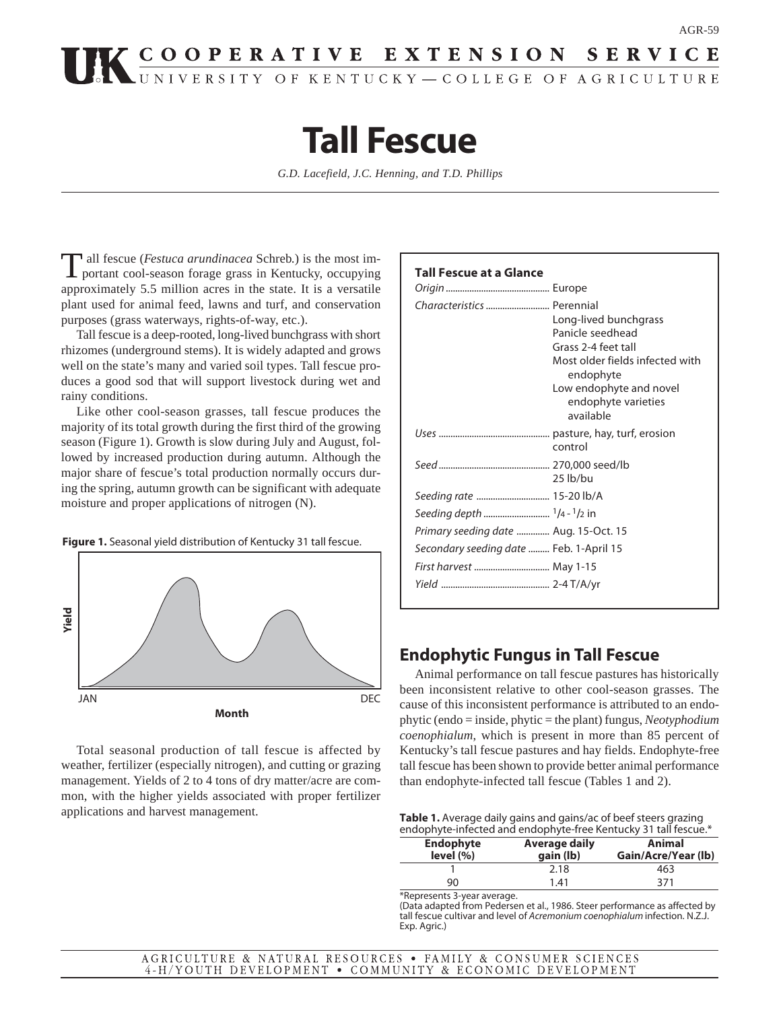# **COOPERATIVE EXTENSION SERVICE**

## **Tall Fescue**

*G.D. Lacefield, J.C. Henning, and T.D. Phillips*

Tall fescue (*Festuca arundinacea* Schreb.) is the most im-<br>portant cool-season forage grass in Kentucky, occupying approximately 5.5 million acres in the state. It is a versatile plant used for animal feed, lawns and turf, and conservation purposes (grass waterways, rights-of-way, etc.).

Tall fescue is a deep-rooted, long-lived bunchgrass with short rhizomes (underground stems). It is widely adapted and grows well on the state's many and varied soil types. Tall fescue produces a good sod that will support livestock during wet and rainy conditions.

Like other cool-season grasses, tall fescue produces the majority of its total growth during the first third of the growing season (Figure 1). Growth is slow during July and August, followed by increased production during autumn. Although the major share of fescue's total production normally occurs during the spring, autumn growth can be significant with adequate moisture and proper applications of nitrogen (N).

**Figure 1.** Seasonal yield distribution of Kentucky 31 tall fescue.



Total seasonal production of tall fescue is affected by weather, fertilizer (especially nitrogen), and cutting or grazing management. Yields of 2 to 4 tons of dry matter/acre are common, with the higher yields associated with proper fertilizer applications and harvest management.

#### **Tall Fescue at a Glance**

| Characteristics  Perennial              | Long-lived bunchgrass<br>Panicle seedhead<br>Grass 2-4 feet tall<br>Most older fields infected with<br>endophyte<br>Low endophyte and novel<br>endophyte varieties<br>available |
|-----------------------------------------|---------------------------------------------------------------------------------------------------------------------------------------------------------------------------------|
|                                         | control                                                                                                                                                                         |
|                                         | 25 lb/bu                                                                                                                                                                        |
| Seeding rate  15-20 lb/A                |                                                                                                                                                                                 |
|                                         |                                                                                                                                                                                 |
| Primary seeding date  Aug. 15-Oct. 15   |                                                                                                                                                                                 |
| Secondary seeding date  Feb. 1-April 15 |                                                                                                                                                                                 |
| First harvest  May 1-15                 |                                                                                                                                                                                 |
|                                         |                                                                                                                                                                                 |
|                                         |                                                                                                                                                                                 |

## **Endophytic Fungus in Tall Fescue**

Animal performance on tall fescue pastures has historically been inconsistent relative to other cool-season grasses. The cause of this inconsistent performance is attributed to an endophytic (endo = inside, phytic = the plant) fungus, *Neotyphodium coenophialum*, which is present in more than 85 percent of Kentucky's tall fescue pastures and hay fields. Endophyte-free tall fescue has been shown to provide better animal performance than endophyte-infected tall fescue (Tables 1 and 2).

**Table 1.** Average daily gains and gains/ac of beef steers grazing endophyte-infected and endophyte-free Kentucky 31 tall fescue.\*

| <b>Endophyte</b><br>level (%) | Average daily<br>gain (lb) | Animal<br>Gain/Acre/Year (lb) |
|-------------------------------|----------------------------|-------------------------------|
|                               | 2.18                       | 463                           |
| 90                            | 1.41                       | 371                           |
| *Represents 3-vear average.   |                            |                               |

(Data adapted from Pedersen et al., 1986. Steer performance as affected by tall fescue cultivar and level of Acremonium coenophialum infection. N.Z.J. Exp. Agric.)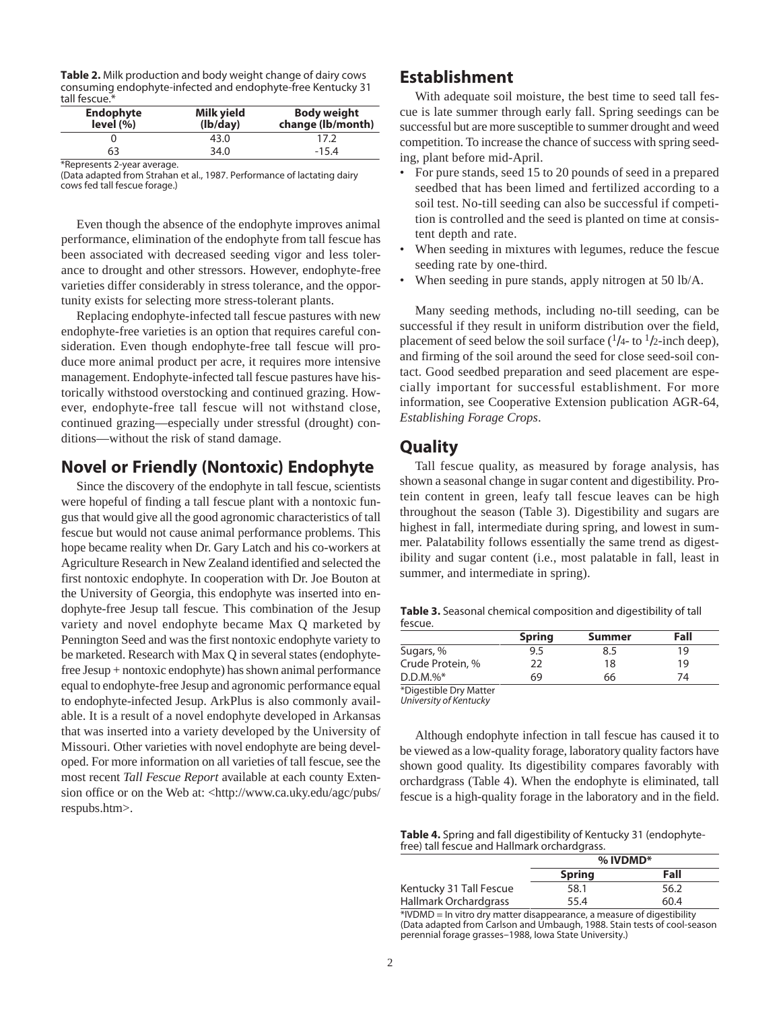| <b>Table 2.</b> Milk production and body weight change of dairy cows |
|----------------------------------------------------------------------|
| consuming endophyte-infected and endophyte-free Kentucky 31          |
| tall fescue.*                                                        |

| <b>Endophyte</b><br>level (%) | Milk yield<br>(lb/day) | <b>Body weight</b><br>change (lb/month) |
|-------------------------------|------------------------|-----------------------------------------|
|                               | 43.0                   | 17.2                                    |
| 63                            | 34.0                   | $-15.4$                                 |
| *Represents 2-year average.   |                        |                                         |

(Data adapted from Strahan et al., 1987. Performance of lactating dairy cows fed tall fescue forage.)

Even though the absence of the endophyte improves animal performance, elimination of the endophyte from tall fescue has been associated with decreased seeding vigor and less tolerance to drought and other stressors. However, endophyte-free varieties differ considerably in stress tolerance, and the opportunity exists for selecting more stress-tolerant plants.

Replacing endophyte-infected tall fescue pastures with new endophyte-free varieties is an option that requires careful consideration. Even though endophyte-free tall fescue will produce more animal product per acre, it requires more intensive management. Endophyte-infected tall fescue pastures have historically withstood overstocking and continued grazing. However, endophyte-free tall fescue will not withstand close, continued grazing—especially under stressful (drought) conditions—without the risk of stand damage.

## **Novel or Friendly (Nontoxic) Endophyte**

Since the discovery of the endophyte in tall fescue, scientists were hopeful of finding a tall fescue plant with a nontoxic fungus that would give all the good agronomic characteristics of tall fescue but would not cause animal performance problems. This hope became reality when Dr. Gary Latch and his co-workers at Agriculture Research in New Zealand identified and selected the first nontoxic endophyte. In cooperation with Dr. Joe Bouton at the University of Georgia, this endophyte was inserted into endophyte-free Jesup tall fescue. This combination of the Jesup variety and novel endophyte became Max Q marketed by Pennington Seed and was the first nontoxic endophyte variety to be marketed. Research with Max Q in several states (endophytefree Jesup + nontoxic endophyte) has shown animal performance equal to endophyte-free Jesup and agronomic performance equal to endophyte-infected Jesup. ArkPlus is also commonly available. It is a result of a novel endophyte developed in Arkansas that was inserted into a variety developed by the University of Missouri. Other varieties with novel endophyte are being developed. For more information on all varieties of tall fescue, see the most recent *Tall Fescue Report* available at each county Extension office or on the Web at: <http://www.ca.uky.edu/agc/pubs/ respubs.htm>.

## **Establishment**

With adequate soil moisture, the best time to seed tall fescue is late summer through early fall. Spring seedings can be successful but are more susceptible to summer drought and weed competition. To increase the chance of success with spring seeding, plant before mid-April.

- For pure stands, seed 15 to 20 pounds of seed in a prepared seedbed that has been limed and fertilized according to a soil test. No-till seeding can also be successful if competition is controlled and the seed is planted on time at consistent depth and rate.
- When seeding in mixtures with legumes, reduce the fescue seeding rate by one-third.
- When seeding in pure stands, apply nitrogen at 50 lb/A.

Many seeding methods, including no-till seeding, can be successful if they result in uniform distribution over the field, placement of seed below the soil surface  $(1/4 -$  to  $1/2$ -inch deep), and firming of the soil around the seed for close seed-soil contact. Good seedbed preparation and seed placement are especially important for successful establishment. For more information, see Cooperative Extension publication AGR-64, *Establishing Forage Crops*.

## **Quality**

Tall fescue quality, as measured by forage analysis, has shown a seasonal change in sugar content and digestibility. Protein content in green, leafy tall fescue leaves can be high throughout the season (Table 3). Digestibility and sugars are highest in fall, intermediate during spring, and lowest in summer. Palatability follows essentially the same trend as digestibility and sugar content (i.e., most palatable in fall, least in summer, and intermediate in spring).

**Table 3.** Seasonal chemical composition and digestibility of tall fescue.

|                  | <b>Spring</b> | Summer | Fall |
|------------------|---------------|--------|------|
| Sugars, %        | 9.5           | 8.5    | 19   |
| Crude Protein, % | 22            | 18     | 19   |
| $D.D.M. \%^*$    | 69            | 66     | 74   |

)igestible Dry Matte University of Kentucky

Although endophyte infection in tall fescue has caused it to be viewed as a low-quality forage, laboratory quality factors have shown good quality. Its digestibility compares favorably with orchardgrass (Table 4). When the endophyte is eliminated, tall fescue is a high-quality forage in the laboratory and in the field.

**Table 4.** Spring and fall digestibility of Kentucky 31 (endophytefree) tall fescue and Hallmark orchardgrass.

|                         | $%$ IVDMD*    |      |
|-------------------------|---------------|------|
|                         | <b>Spring</b> | Fall |
| Kentucky 31 Tall Fescue | 58.1          | 56.2 |
| Hallmark Orchardgrass   | 55.4          | 60.4 |

\*IVDMD = In vitro dry matter disappearance, a measure of digestibility (Data adapted from Carlson and Umbaugh, 1988. Stain tests of cool-season perennial forage grasses-1988, Iowa State University.)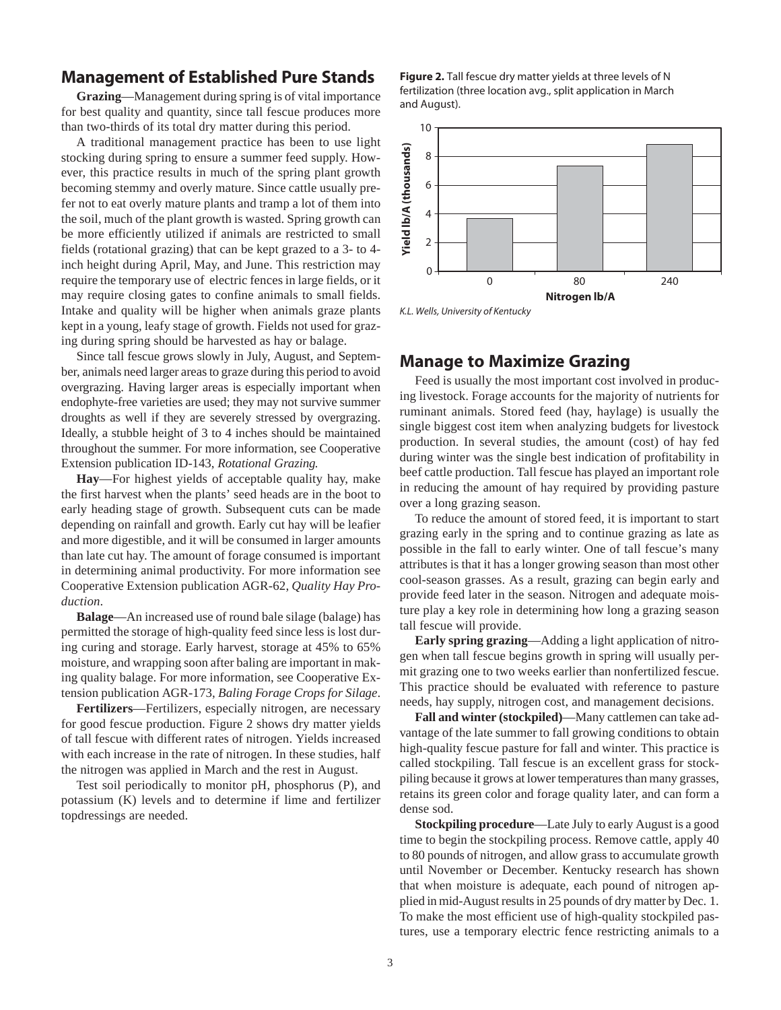## **Management of Established Pure Stands**

**Grazing**—Management during spring is of vital importance for best quality and quantity, since tall fescue produces more than two-thirds of its total dry matter during this period.

A traditional management practice has been to use light stocking during spring to ensure a summer feed supply. However, this practice results in much of the spring plant growth becoming stemmy and overly mature. Since cattle usually prefer not to eat overly mature plants and tramp a lot of them into the soil, much of the plant growth is wasted. Spring growth can be more efficiently utilized if animals are restricted to small fields (rotational grazing) that can be kept grazed to a 3- to 4 inch height during April, May, and June. This restriction may require the temporary use of electric fences in large fields, or it may require closing gates to confine animals to small fields. Intake and quality will be higher when animals graze plants kept in a young, leafy stage of growth. Fields not used for grazing during spring should be harvested as hay or balage.

Since tall fescue grows slowly in July, August, and September, animals need larger areas to graze during this period to avoid overgrazing. Having larger areas is especially important when endophyte-free varieties are used; they may not survive summer droughts as well if they are severely stressed by overgrazing. Ideally, a stubble height of 3 to 4 inches should be maintained throughout the summer. For more information, see Cooperative Extension publication ID-143, *Rotational Grazing.*

**Hay**—For highest yields of acceptable quality hay, make the first harvest when the plants' seed heads are in the boot to early heading stage of growth. Subsequent cuts can be made depending on rainfall and growth. Early cut hay will be leafier and more digestible, and it will be consumed in larger amounts than late cut hay. The amount of forage consumed is important in determining animal productivity. For more information see Cooperative Extension publication AGR-62, *Quality Hay Production*.

**Balage**—An increased use of round bale silage (balage) has permitted the storage of high-quality feed since less is lost during curing and storage. Early harvest, storage at 45% to 65% moisture, and wrapping soon after baling are important in making quality balage. For more information, see Cooperative Extension publication AGR-173, *Baling Forage Crops for Silage*.

**Fertilizers**—Fertilizers, especially nitrogen, are necessary for good fescue production. Figure 2 shows dry matter yields of tall fescue with different rates of nitrogen. Yields increased with each increase in the rate of nitrogen. In these studies, half the nitrogen was applied in March and the rest in August.

Test soil periodically to monitor pH, phosphorus (P), and potassium (K) levels and to determine if lime and fertilizer topdressings are needed.

**Figure 2.** Tall fescue dry matter yields at three levels of N fertilization (three location avg., split application in March and August).



#### **Manage to Maximize Grazing**

Feed is usually the most important cost involved in producing livestock. Forage accounts for the majority of nutrients for ruminant animals. Stored feed (hay, haylage) is usually the single biggest cost item when analyzing budgets for livestock production. In several studies, the amount (cost) of hay fed during winter was the single best indication of profitability in beef cattle production. Tall fescue has played an important role in reducing the amount of hay required by providing pasture over a long grazing season.

To reduce the amount of stored feed, it is important to start grazing early in the spring and to continue grazing as late as possible in the fall to early winter. One of tall fescue's many attributes is that it has a longer growing season than most other cool-season grasses. As a result, grazing can begin early and provide feed later in the season. Nitrogen and adequate moisture play a key role in determining how long a grazing season tall fescue will provide.

**Early spring grazing**—Adding a light application of nitrogen when tall fescue begins growth in spring will usually permit grazing one to two weeks earlier than nonfertilized fescue. This practice should be evaluated with reference to pasture needs, hay supply, nitrogen cost, and management decisions.

**Fall and winter (stockpiled)**—Many cattlemen can take advantage of the late summer to fall growing conditions to obtain high-quality fescue pasture for fall and winter. This practice is called stockpiling. Tall fescue is an excellent grass for stockpiling because it grows at lower temperatures than many grasses, retains its green color and forage quality later, and can form a dense sod.

**Stockpiling procedure**—Late July to early August is a good time to begin the stockpiling process. Remove cattle, apply 40 to 80 pounds of nitrogen, and allow grass to accumulate growth until November or December. Kentucky research has shown that when moisture is adequate, each pound of nitrogen applied in mid-August results in 25 pounds of dry matter by Dec. 1. To make the most efficient use of high-quality stockpiled pastures, use a temporary electric fence restricting animals to a